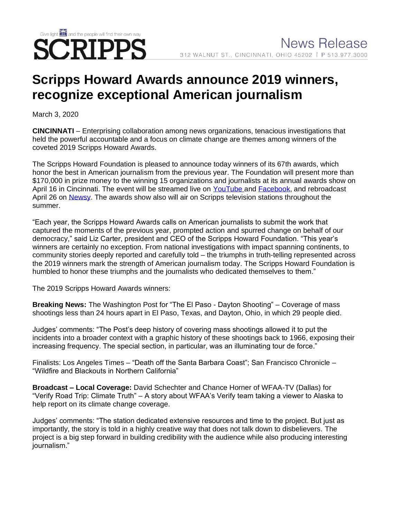# Give light and the people will find their own way CRIPPS

# **Scripps Howard Awards announce 2019 winners, recognize exceptional American journalism**

March 3, 2020

**CINCINNATI** – Enterprising collaboration among news organizations, tenacious investigations that held the powerful accountable and a focus on climate change are themes among winners of the coveted 2019 Scripps Howard Awards.

The Scripps Howard Foundation is pleased to announce today winners of its 67th awards, which honor the best in American journalism from the previous year. The Foundation will present more than \$170,000 in prize money to the winning 15 organizations and journalists at its annual awards show on April 16 in Cincinnati. The event will be streamed live on [YouTube](https://www.youtube.com/channel/UCixv0G2bTYP1TOo4-TAlzKg) and [Facebook,](https://www.facebook.com/scrippshowardfoundation/) and rebroadcast April 26 on [Newsy.](https://www.newsy.com/) The awards show also will air on Scripps television stations throughout the summer.

"Each year, the Scripps Howard Awards calls on American journalists to submit the work that captured the moments of the previous year, prompted action and spurred change on behalf of our democracy," said Liz Carter, president and CEO of the Scripps Howard Foundation. "This year's winners are certainly no exception. From national investigations with impact spanning continents, to community stories deeply reported and carefully told – the triumphs in truth-telling represented across the 2019 winners mark the strength of American journalism today. The Scripps Howard Foundation is humbled to honor these triumphs and the journalists who dedicated themselves to them."

The 2019 Scripps Howard Awards winners:

**Breaking News:** The Washington Post for "The El Paso - Dayton Shooting" – Coverage of mass shootings less than 24 hours apart in El Paso, Texas, and Dayton, Ohio, in which 29 people died.

Judges' comments: "The Post's deep history of covering mass shootings allowed it to put the incidents into a broader context with a graphic history of these shootings back to 1966, exposing their increasing frequency. The special section, in particular, was an illuminating tour de force."

Finalists: Los Angeles Times – "Death off the Santa Barbara Coast"; San Francisco Chronicle – "Wildfire and Blackouts in Northern California"

**Broadcast – Local Coverage:** David Schechter and Chance Horner of WFAA-TV (Dallas) for "Verify Road Trip: Climate Truth" – A story about WFAA's Verify team taking a viewer to Alaska to help report on its climate change coverage.

Judges' comments: "The station dedicated extensive resources and time to the project. But just as importantly, the story is told in a highly creative way that does not talk down to disbelievers. The project is a big step forward in building credibility with the audience while also producing interesting journalism."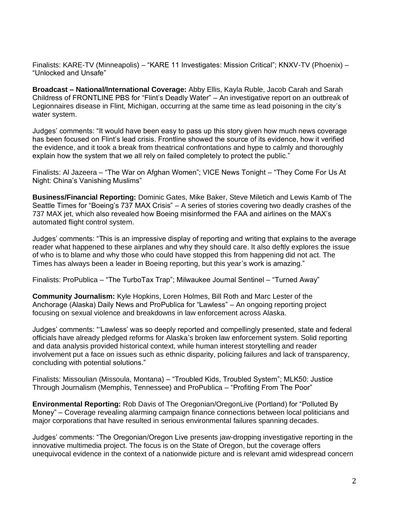Finalists: KARE-TV (Minneapolis) – "KARE 11 Investigates: Mission Critical"; KNXV-TV (Phoenix) – "Unlocked and Unsafe"

**Broadcast – National/International Coverage:** Abby Ellis, Kayla Ruble, Jacob Carah and Sarah Childress of FRONTLINE PBS for "Flint's Deadly Water" – An investigative report on an outbreak of Legionnaires disease in Flint, Michigan, occurring at the same time as lead poisoning in the city's water system.

Judges' comments: "It would have been easy to pass up this story given how much news coverage has been focused on Flint's lead crisis. Frontline showed the source of its evidence, how it verified the evidence, and it took a break from theatrical confrontations and hype to calmly and thoroughly explain how the system that we all rely on failed completely to protect the public."

Finalists: Al Jazeera – "The War on Afghan Women"; VICE News Tonight – "They Come For Us At Night: China's Vanishing Muslims"

**Business/Financial Reporting:** Dominic Gates, Mike Baker, Steve Miletich and Lewis Kamb of The Seattle Times for "Boeing's 737 MAX Crisis" – A series of stories covering two deadly crashes of the 737 MAX jet, which also revealed how Boeing misinformed the FAA and airlines on the MAX's automated flight control system.

Judges' comments: "This is an impressive display of reporting and writing that explains to the average reader what happened to these airplanes and why they should care. It also deftly explores the issue of who is to blame and why those who could have stopped this from happening did not act. The Times has always been a leader in Boeing reporting, but this year's work is amazing."

Finalists: ProPublica – "The TurboTax Trap"; Milwaukee Journal Sentinel – "Turned Away"

**Community Journalism:** Kyle Hopkins, Loren Holmes, Bill Roth and Marc Lester of the Anchorage (Alaska) Daily News and ProPublica for "Lawless" – An ongoing reporting project focusing on sexual violence and breakdowns in law enforcement across Alaska.

Judges' comments: "'Lawless' was so deeply reported and compellingly presented, state and federal officials have already pledged reforms for Alaska's broken law enforcement system. Solid reporting and data analysis provided historical context, while human interest storytelling and reader involvement put a face on issues such as ethnic disparity, policing failures and lack of transparency, concluding with potential solutions."

Finalists: Missoulian (Missoula, Montana) – "Troubled Kids, Troubled System"; MLK50: Justice Through Journalism (Memphis, Tennessee) and ProPublica – "Profiting From The Poor"

**Environmental Reporting:** Rob Davis of The Oregonian/OregonLive (Portland) for "Polluted By Money" – Coverage revealing alarming campaign finance connections between local politicians and major corporations that have resulted in serious environmental failures spanning decades.

Judges' comments: "The Oregonian/Oregon Live presents jaw-dropping investigative reporting in the innovative multimedia project. The focus is on the State of Oregon, but the coverage offers unequivocal evidence in the context of a nationwide picture and is relevant amid widespread concern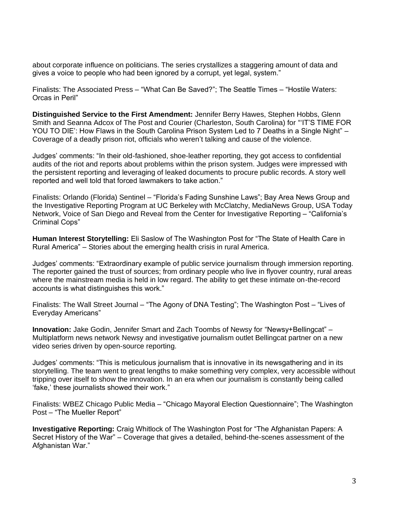about corporate influence on politicians. The series crystallizes a staggering amount of data and gives a voice to people who had been ignored by a corrupt, yet legal, system."

Finalists: The Associated Press – "What Can Be Saved?"; The Seattle Times – "Hostile Waters: Orcas in Peril"

**Distinguished Service to the First Amendment:** Jennifer Berry Hawes, Stephen Hobbs, Glenn Smith and Seanna Adcox of The Post and Courier (Charleston, South Carolina) for "'IT'S TIME FOR YOU TO DIE': How Flaws in the South Carolina Prison System Led to 7 Deaths in a Single Night" – Coverage of a deadly prison riot, officials who weren't talking and cause of the violence.

Judges' comments: "In their old-fashioned, shoe-leather reporting, they got access to confidential audits of the riot and reports about problems within the prison system. Judges were impressed with the persistent reporting and leveraging of leaked documents to procure public records. A story well reported and well told that forced lawmakers to take action."

Finalists: Orlando (Florida) Sentinel – "Florida's Fading Sunshine Laws"; Bay Area News Group and the Investigative Reporting Program at UC Berkeley with McClatchy, MediaNews Group, USA Today Network, Voice of San Diego and Reveal from the Center for Investigative Reporting – "California's Criminal Cops"

**Human Interest Storytelling:** Eli Saslow of The Washington Post for "The State of Health Care in Rural America" – Stories about the emerging health crisis in rural America.

Judges' comments: "Extraordinary example of public service journalism through immersion reporting. The reporter gained the trust of sources; from ordinary people who live in flyover country, rural areas where the mainstream media is held in low regard. The ability to get these intimate on-the-record accounts is what distinguishes this work."

Finalists: The Wall Street Journal – "The Agony of DNA Testing"; The Washington Post – "Lives of Everyday Americans"

**Innovation:** Jake Godin, Jennifer Smart and Zach Toombs of Newsy for "Newsy+Bellingcat" – Multiplatform news network Newsy and investigative journalism outlet Bellingcat partner on a new video series driven by open-source reporting.

Judges' comments: "This is meticulous journalism that is innovative in its newsgathering and in its storytelling. The team went to great lengths to make something very complex, very accessible without tripping over itself to show the innovation. In an era when our journalism is constantly being called 'fake,' these journalists showed their work."

Finalists: WBEZ Chicago Public Media – "Chicago Mayoral Election Questionnaire"; The Washington Post – "The Mueller Report"

**Investigative Reporting:** Craig Whitlock of The Washington Post for "The Afghanistan Papers: A Secret History of the War" – Coverage that gives a detailed, behind-the-scenes assessment of the Afghanistan War."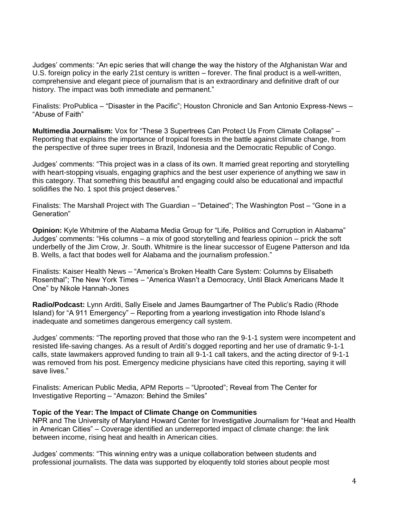Judges' comments: "An epic series that will change the way the history of the Afghanistan War and U.S. foreign policy in the early 21st century is written – forever. The final product is a well-written, comprehensive and elegant piece of journalism that is an extraordinary and definitive draft of our history. The impact was both immediate and permanent."

Finalists: ProPublica – "Disaster in the Pacific"; Houston Chronicle and San Antonio Express-News – "Abuse of Faith"

**Multimedia Journalism:** Vox for "These 3 Supertrees Can Protect Us From Climate Collapse" – Reporting that explains the importance of tropical forests in the battle against climate change, from the perspective of three super trees in Brazil, Indonesia and the Democratic Republic of Congo.

Judges' comments: "This project was in a class of its own. It married great reporting and storytelling with heart-stopping visuals, engaging graphics and the best user experience of anything we saw in this category. That something this beautiful and engaging could also be educational and impactful solidifies the No. 1 spot this project deserves."

Finalists: The Marshall Project with The Guardian – "Detained"; The Washington Post – "Gone in a Generation"

**Opinion:** Kyle Whitmire of the Alabama Media Group for "Life, Politics and Corruption in Alabama" Judges' comments: "His columns – a mix of good storytelling and fearless opinion – prick the soft underbelly of the Jim Crow, Jr. South. Whitmire is the linear successor of Eugene Patterson and Ida B. Wells, a fact that bodes well for Alabama and the journalism profession."

Finalists: Kaiser Health News – "America's Broken Health Care System: Columns by Elisabeth Rosenthal"; The New York Times – "America Wasn't a Democracy, Until Black Americans Made It One" by Nikole Hannah-Jones

**Radio/Podcast:** Lynn Arditi, Sally Eisele and James Baumgartner of The Public's Radio (Rhode Island) for "A 911 Emergency" – Reporting from a yearlong investigation into Rhode Island's inadequate and sometimes dangerous emergency call system.

Judges' comments: "The reporting proved that those who ran the 9-1-1 system were incompetent and resisted life-saving changes. As a result of Arditi's dogged reporting and her use of dramatic 9-1-1 calls, state lawmakers approved funding to train all 9-1-1 call takers, and the acting director of 9-1-1 was removed from his post. Emergency medicine physicians have cited this reporting, saying it will save lives."

Finalists: American Public Media, APM Reports – "Uprooted"; Reveal from The Center for Investigative Reporting – "Amazon: Behind the Smiles"

#### **Topic of the Year: The Impact of Climate Change on Communities**

NPR and The University of Maryland Howard Center for Investigative Journalism for "Heat and Health in American Cities" – Coverage identified an underreported impact of climate change: the link between income, rising heat and health in American cities.

Judges' comments: "This winning entry was a unique collaboration between students and professional journalists. The data was supported by eloquently told stories about people most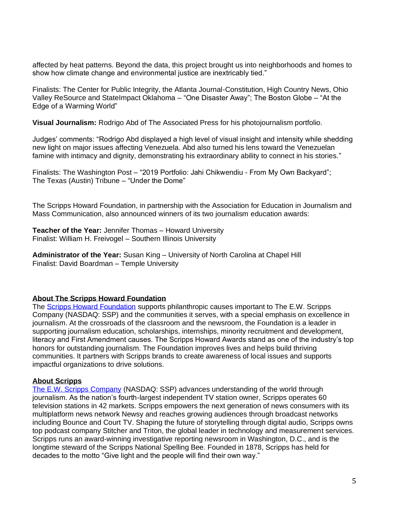affected by heat patterns. Beyond the data, this project brought us into neighborhoods and homes to show how climate change and environmental justice are inextricably tied."

Finalists: The Center for Public Integrity, the Atlanta Journal-Constitution, High Country News, Ohio Valley ReSource and StateImpact Oklahoma – "One Disaster Away"; The Boston Globe – "At the Edge of a Warming World"

**Visual Journalism:** Rodrigo Abd of The Associated Press for his photojournalism portfolio.

Judges' comments: "Rodrigo Abd displayed a high level of visual insight and intensity while shedding new light on major issues affecting Venezuela. Abd also turned his lens toward the Venezuelan famine with intimacy and dignity, demonstrating his extraordinary ability to connect in his stories."

Finalists: The Washington Post – "2019 Portfolio: Jahi Chikwendiu - From My Own Backyard"; The Texas (Austin) Tribune – "Under the Dome"

The Scripps Howard Foundation, in partnership with the Association for Education in Journalism and Mass Communication, also announced winners of its two journalism education awards:

**Teacher of the Year:** Jennifer Thomas – Howard University Finalist: William H. Freivogel – Southern Illinois University

**Administrator of the Year:** Susan King – University of North Carolina at Chapel Hill Finalist: David Boardman – Temple University

## **About The Scripps Howard Foundation**

The **Scripps Howard Foundation** supports philanthropic causes important to The E.W. Scripps Company (NASDAQ: SSP) and the communities it serves, with a special emphasis on excellence in journalism. At the crossroads of the classroom and the newsroom, the Foundation is a leader in supporting journalism education, scholarships, internships, minority recruitment and development, literacy and First Amendment causes. The Scripps Howard Awards stand as one of the industry's top honors for outstanding journalism. The Foundation improves lives and helps build thriving communities. It partners with Scripps brands to create awareness of local issues and supports impactful organizations to drive solutions.

#### **About Scripps**

[The E.W. Scripps Company](https://scripps.com/) (NASDAQ: SSP) advances understanding of the world through journalism. As the nation's fourth-largest independent TV station owner, Scripps operates 60 television stations in 42 markets. Scripps empowers the next generation of news consumers with its multiplatform news network Newsy and reaches growing audiences through broadcast networks including Bounce and Court TV. Shaping the future of storytelling through digital audio, Scripps owns top podcast company Stitcher and Triton, the global leader in technology and measurement services. Scripps runs an award-winning investigative reporting newsroom in Washington, D.C., and is the longtime steward of the Scripps National Spelling Bee. Founded in 1878, Scripps has held for decades to the motto "Give light and the people will find their own way."